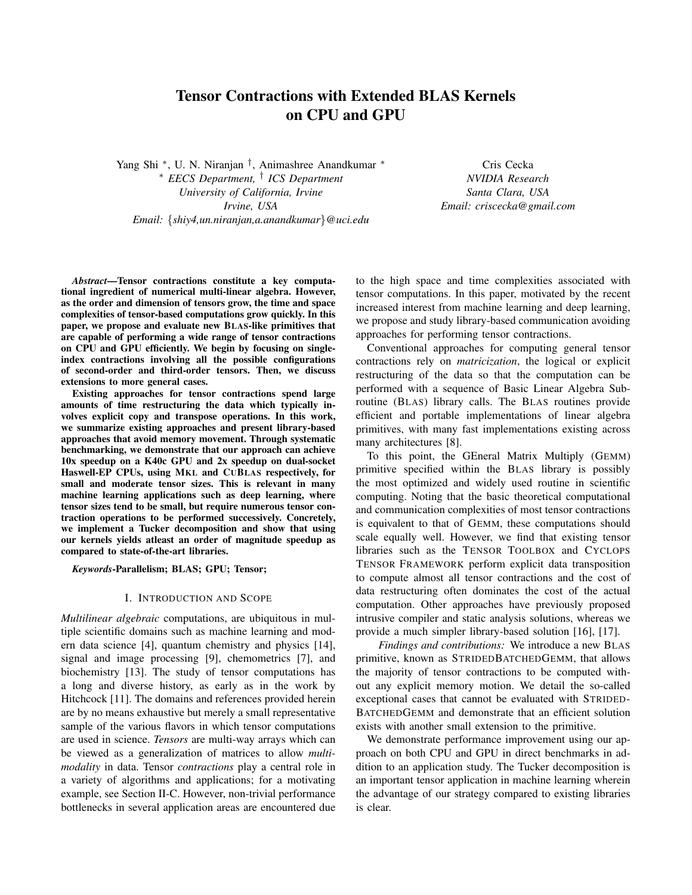# Tensor Contractions with Extended BLAS Kernels on CPU and GPU

Yang Shi <sup>∗</sup> , U. N. Niranjan † , Animashree Anandkumar <sup>∗</sup> <sup>∗</sup> *EECS Department,* † *ICS Department University of California, Irvine Irvine, USA Email:* {*shiy4,un.niranjan,a.anandkumar*}*@uci.edu*

Cris Cecka *NVIDIA Research Santa Clara, USA Email: criscecka@gmail.com*

*Abstract*—Tensor contractions constitute a key computational ingredient of numerical multi-linear algebra. However, as the order and dimension of tensors grow, the time and space complexities of tensor-based computations grow quickly. In this paper, we propose and evaluate new BLAS-like primitives that are capable of performing a wide range of tensor contractions on CPU and GPU efficiently. We begin by focusing on singleindex contractions involving all the possible configurations of second-order and third-order tensors. Then, we discuss extensions to more general cases.

Existing approaches for tensor contractions spend large amounts of time restructuring the data which typically involves explicit copy and transpose operations. In this work, we summarize existing approaches and present library-based approaches that avoid memory movement. Through systematic benchmarking, we demonstrate that our approach can achieve 10x speedup on a K40c GPU and 2x speedup on dual-socket Haswell-EP CPUs, using MKL and CUBLAS respectively, for small and moderate tensor sizes. This is relevant in many machine learning applications such as deep learning, where tensor sizes tend to be small, but require numerous tensor contraction operations to be performed successively. Concretely, we implement a Tucker decomposition and show that using our kernels yields atleast an order of magnitude speedup as compared to state-of-the-art libraries.

*Keywords*-Parallelism; BLAS; GPU; Tensor;

#### I. INTRODUCTION AND SCOPE

*Multilinear algebraic* computations, are ubiquitous in multiple scientific domains such as machine learning and modern data science [4], quantum chemistry and physics [14], signal and image processing [9], chemometrics [7], and biochemistry [13]. The study of tensor computations has a long and diverse history, as early as in the work by Hitchcock [11]. The domains and references provided herein are by no means exhaustive but merely a small representative sample of the various flavors in which tensor computations are used in science. *Tensors* are multi-way arrays which can be viewed as a generalization of matrices to allow *multimodality* in data. Tensor *contractions* play a central role in a variety of algorithms and applications; for a motivating example, see Section II-C. However, non-trivial performance bottlenecks in several application areas are encountered due to the high space and time complexities associated with tensor computations. In this paper, motivated by the recent increased interest from machine learning and deep learning, we propose and study library-based communication avoiding approaches for performing tensor contractions.

Conventional approaches for computing general tensor contractions rely on *matricization*, the logical or explicit restructuring of the data so that the computation can be performed with a sequence of Basic Linear Algebra Subroutine (BLAS) library calls. The BLAS routines provide efficient and portable implementations of linear algebra primitives, with many fast implementations existing across many architectures [8].

To this point, the GEneral Matrix Multiply (GEMM) primitive specified within the BLAS library is possibly the most optimized and widely used routine in scientific computing. Noting that the basic theoretical computational and communication complexities of most tensor contractions is equivalent to that of GEMM, these computations should scale equally well. However, we find that existing tensor libraries such as the TENSOR TOOLBOX and CYCLOPS TENSOR FRAMEWORK perform explicit data transposition to compute almost all tensor contractions and the cost of data restructuring often dominates the cost of the actual computation. Other approaches have previously proposed intrusive compiler and static analysis solutions, whereas we provide a much simpler library-based solution [16], [17].

*Findings and contributions:* We introduce a new BLAS primitive, known as STRIDEDBATCHEDGEMM, that allows the majority of tensor contractions to be computed without any explicit memory motion. We detail the so-called exceptional cases that cannot be evaluated with STRIDED-BATCHEDGEMM and demonstrate that an efficient solution exists with another small extension to the primitive.

We demonstrate performance improvement using our approach on both CPU and GPU in direct benchmarks in addition to an application study. The Tucker decomposition is an important tensor application in machine learning wherein the advantage of our strategy compared to existing libraries is clear.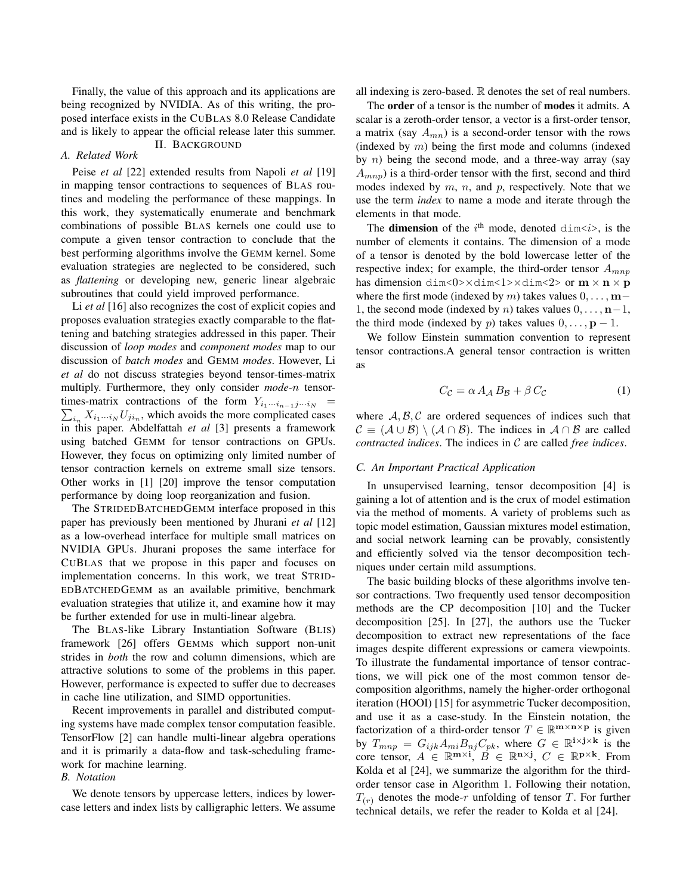Finally, the value of this approach and its applications are being recognized by NVIDIA. As of this writing, the proposed interface exists in the CUBLAS 8.0 Release Candidate and is likely to appear the official release later this summer. II. BACKGROUND

#### *A. Related Work*

Peise *et al* [22] extended results from Napoli *et al* [19] in mapping tensor contractions to sequences of BLAS routines and modeling the performance of these mappings. In this work, they systematically enumerate and benchmark combinations of possible BLAS kernels one could use to compute a given tensor contraction to conclude that the best performing algorithms involve the GEMM kernel. Some evaluation strategies are neglected to be considered, such as *flattening* or developing new, generic linear algebraic subroutines that could yield improved performance.

Li *et al* [16] also recognizes the cost of explicit copies and proposes evaluation strategies exactly comparable to the flattening and batching strategies addressed in this paper. Their discussion of *loop modes* and *component modes* map to our discussion of *batch modes* and GEMM *modes*. However, Li *et al* do not discuss strategies beyond tensor-times-matrix multiply. Furthermore, they only consider *mode-*n tensor- $\sum_{i_n} X_{i_1\cdots i_N} U_{j i_n}$ , which avoids the more complicated cases times-matrix contractions of the form  $Y_{i_1\cdots i_{n-1}j\cdots i_N}$ in this paper. Abdelfattah *et al* [3] presents a framework using batched GEMM for tensor contractions on GPUs. However, they focus on optimizing only limited number of tensor contraction kernels on extreme small size tensors. Other works in [1] [20] improve the tensor computation performance by doing loop reorganization and fusion.

The STRIDEDBATCHEDGEMM interface proposed in this paper has previously been mentioned by Jhurani *et al* [12] as a low-overhead interface for multiple small matrices on NVIDIA GPUs. Jhurani proposes the same interface for CUBLAS that we propose in this paper and focuses on implementation concerns. In this work, we treat STRID-EDBATCHEDGEMM as an available primitive, benchmark evaluation strategies that utilize it, and examine how it may be further extended for use in multi-linear algebra.

The BLAS-like Library Instantiation Software (BLIS) framework [26] offers GEMMs which support non-unit strides in *both* the row and column dimensions, which are attractive solutions to some of the problems in this paper. However, performance is expected to suffer due to decreases in cache line utilization, and SIMD opportunities.

Recent improvements in parallel and distributed computing systems have made complex tensor computation feasible. TensorFlow [2] can handle multi-linear algebra operations and it is primarily a data-flow and task-scheduling framework for machine learning.

# *B. Notation*

We denote tensors by uppercase letters, indices by lowercase letters and index lists by calligraphic letters. We assume all indexing is zero-based. R denotes the set of real numbers.

The order of a tensor is the number of modes it admits. A scalar is a zeroth-order tensor, a vector is a first-order tensor, a matrix (say  $A_{mn}$ ) is a second-order tensor with the rows (indexed by  $m$ ) being the first mode and columns (indexed by  $n$ ) being the second mode, and a three-way array (say  $(A_{mnp})$  is a third-order tensor with the first, second and third modes indexed by  $m$ ,  $n$ , and  $p$ , respectively. Note that we use the term *index* to name a mode and iterate through the elements in that mode.

The **dimension** of the  $i^{\text{th}}$  mode, denoted  $\text{dim} \langle i \rangle$ , is the number of elements it contains. The dimension of a mode of a tensor is denoted by the bold lowercase letter of the respective index; for example, the third-order tensor  $A_{mnp}$ has dimension dim<0> $\times$ dim $\lt 1$ > $\times$ dim $\lt 2$ > or  $m \times n \times p$ where the first mode (indexed by m) takes values  $0, \ldots, m-$ 1, the second mode (indexed by *n*) takes values  $0, \ldots, n-1$ , the third mode (indexed by p) takes values  $0, \ldots, p - 1$ .

We follow Einstein summation convention to represent tensor contractions.A general tensor contraction is written as

$$
C_{\mathcal{C}} = \alpha A_{\mathcal{A}} B_{\mathcal{B}} + \beta C_{\mathcal{C}}
$$
 (1)

where  $A, B, C$  are ordered sequences of indices such that  $\mathcal{C} \equiv (\mathcal{A} \cup \mathcal{B}) \setminus (\mathcal{A} \cap \mathcal{B})$ . The indices in  $\mathcal{A} \cap \mathcal{B}$  are called *contracted indices*. The indices in C are called *free indices*.

#### *C. An Important Practical Application*

In unsupervised learning, tensor decomposition [4] is gaining a lot of attention and is the crux of model estimation via the method of moments. A variety of problems such as topic model estimation, Gaussian mixtures model estimation, and social network learning can be provably, consistently and efficiently solved via the tensor decomposition techniques under certain mild assumptions.

The basic building blocks of these algorithms involve tensor contractions. Two frequently used tensor decomposition methods are the CP decomposition [10] and the Tucker decomposition [25]. In [27], the authors use the Tucker decomposition to extract new representations of the face images despite different expressions or camera viewpoints. To illustrate the fundamental importance of tensor contractions, we will pick one of the most common tensor decomposition algorithms, namely the higher-order orthogonal iteration (HOOI) [15] for asymmetric Tucker decomposition, and use it as a case-study. In the Einstein notation, the factorization of a third-order tensor  $T \in \mathbb{R}^{m \times n \times p}$  is given by  $T_{mnp} = G_{ijk} A_{mi} B_{nj} C_{pk}$ , where  $G \in \mathbb{R}^{i \times j \times k}$  is the core tensor,  $A \in \mathbb{R}^{m \times i}$ ,  $B \in \mathbb{R}^{n \times j}$ ,  $C \in \mathbb{R}^{p \times k}$ . From Kolda et al [24], we summarize the algorithm for the thirdorder tensor case in Algorithm 1. Following their notation,  $T(r)$  denotes the mode-r unfolding of tensor T. For further technical details, we refer the reader to Kolda et al [24].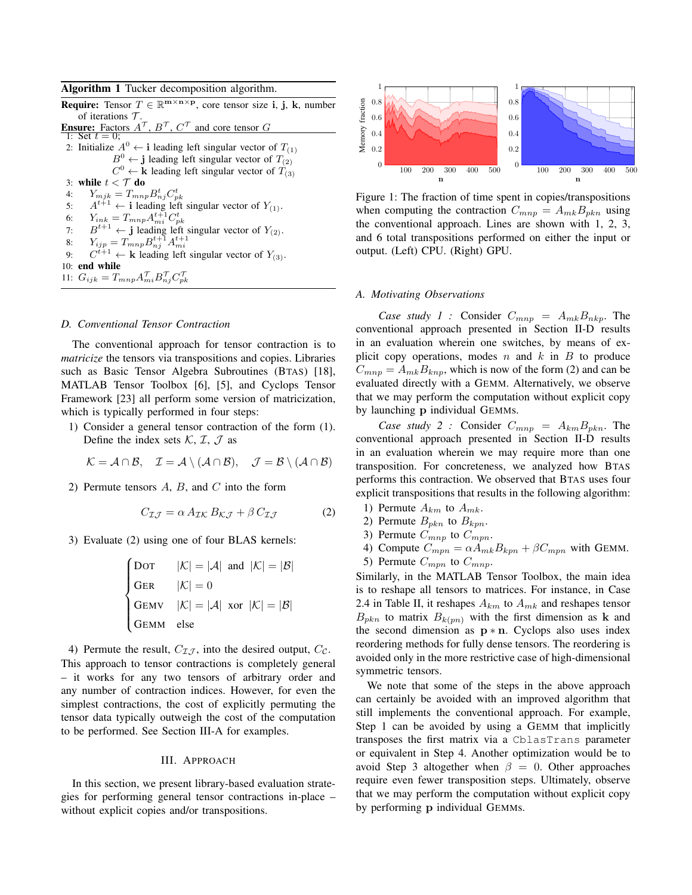| Algorithm 1 Tucker decomposition algorithm. |  |  |  |
|---------------------------------------------|--|--|--|
|---------------------------------------------|--|--|--|

**Require:** Tensor  $T \in \mathbb{R}^{m \times n \times p}$ , core tensor size i, j, k, number of iterations  $T$ . **Ensure:** Factors  $A^{\mathcal{T}}$ ,  $B^{\mathcal{T}}$ ,  $C^{\mathcal{T}}$  and core tensor G 1: Set  $t = 0$ ; 2: Initialize  $A^0 \leftarrow \mathbf{i}$  leading left singular vector of  $T_{(1)}$  $B^0 \leftarrow j$  leading left singular vector of  $T_{(2)}$  $C^0$   $\leftarrow$  k leading left singular vector of  $T_{(3)}$ 3: while  $t < \mathcal{T}$  do 4:  $Y_{mjk} = T_{mnp} B_{nj}^t C_{pk}^t$ 5:  $A^{t+1} \leftarrow$  i leading left singular vector of  $Y_{(1)}$ . 6:  $Y_{ink} = T_{mnp} A_{mi}^{t+1} C_{pk}^t$ 7:  $B^{t+1} \leftarrow j$  leading left singular vector of  $Y_{(2)}$ . 8:  $Y_{ijp} = T_{mnp} B_{nj}^{t+1} A_{mi}^{t+1}$ <br>9:  $C^{t+1} \leftarrow \mathbf{k}$  leading left singular vector of  $Y_{(3)}$ . 10: end while 11:  $G_{ijk} = T_{mnp} A_{mi}^{\mathcal{T}} B_{nj}^{\mathcal{T}} C_{pk}^{\mathcal{T}}$ 

#### *D. Conventional Tensor Contraction*

The conventional approach for tensor contraction is to *matricize* the tensors via transpositions and copies. Libraries such as Basic Tensor Algebra Subroutines (BTAS) [18], MATLAB Tensor Toolbox [6], [5], and Cyclops Tensor Framework [23] all perform some version of matricization, which is typically performed in four steps:

1) Consider a general tensor contraction of the form (1). Define the index sets  $K, \mathcal{I}, \mathcal{J}$  as

$$
\mathcal{K} = \mathcal{A} \cap \mathcal{B}, \quad \mathcal{I} = \mathcal{A} \setminus (\mathcal{A} \cap \mathcal{B}), \quad \mathcal{J} = \mathcal{B} \setminus (\mathcal{A} \cap \mathcal{B})
$$

2) Permute tensors  $A$ ,  $B$ , and  $C$  into the form

$$
C_{\mathcal{I}\mathcal{J}} = \alpha A_{\mathcal{I}\mathcal{K}} B_{\mathcal{K}\mathcal{J}} + \beta C_{\mathcal{I}\mathcal{J}} \tag{2}
$$

3) Evaluate (2) using one of four BLAS kernels:

$$
\begin{cases}\n\text{Dor} & |\mathcal{K}| = |\mathcal{A}| \text{ and } |\mathcal{K}| = |\mathcal{B}| \\
\text{GER} & |\mathcal{K}| = 0 \\
\text{GEMV} & |\mathcal{K}| = |\mathcal{A}| \text{ xor } |\mathcal{K}| = |\mathcal{B}| \\
\text{GEMM} & \text{else}\n\end{cases}
$$

4) Permute the result,  $C_{\mathcal{I}.\mathcal{I}}$ , into the desired output,  $C_{\mathcal{C}}$ . This approach to tensor contractions is completely general – it works for any two tensors of arbitrary order and any number of contraction indices. However, for even the simplest contractions, the cost of explicitly permuting the tensor data typically outweigh the cost of the computation to be performed. See Section III-A for examples.

#### III. APPROACH

In this section, we present library-based evaluation strategies for performing general tensor contractions in-place – without explicit copies and/or transpositions.



Figure 1: The fraction of time spent in copies/transpositions when computing the contraction  $C_{mnp} = A_{mk}B_{pkn}$  using the conventional approach. Lines are shown with 1, 2, 3, and 6 total transpositions performed on either the input or output. (Left) CPU. (Right) GPU.

#### *A. Motivating Observations*

*Case study 1 :* Consider  $C_{mnp} = A_{mk}B_{nkp}$ . The conventional approach presented in Section II-D results in an evaluation wherein one switches, by means of explicit copy operations, modes  $n$  and  $k$  in  $B$  to produce  $C_{mnp} = A_{mk}B_{knp}$ , which is now of the form (2) and can be evaluated directly with a GEMM. Alternatively, we observe that we may perform the computation without explicit copy by launching p individual GEMMs.

*Case study 2 :* Consider  $C_{mnp} = A_{km}B_{pkn}$ . The conventional approach presented in Section II-D results in an evaluation wherein we may require more than one transposition. For concreteness, we analyzed how BTAS performs this contraction. We observed that BTAS uses four explicit transpositions that results in the following algorithm:

- 1) Permute  $A_{km}$  to  $A_{mk}$ .
- 2) Permute  $B_{pkn}$  to  $B_{kpn}$ .
- 3) Permute  $C_{mnp}$  to  $C_{mpn}$ .
- 4) Compute  $C_{mpn} = \alpha A_{mk} B_{kpn} + \beta C_{mpn}$  with GEMM.
- 5) Permute  $C_{mpn}$  to  $C_{mnp}$ .

Similarly, in the MATLAB Tensor Toolbox, the main idea is to reshape all tensors to matrices. For instance, in Case 2.4 in Table II, it reshapes  $A_{km}$  to  $A_{mk}$  and reshapes tensor  $B_{pkn}$  to matrix  $B_{k(pn)}$  with the first dimension as **k** and the second dimension as  $p * n$ . Cyclops also uses index reordering methods for fully dense tensors. The reordering is avoided only in the more restrictive case of high-dimensional symmetric tensors.

We note that some of the steps in the above approach can certainly be avoided with an improved algorithm that still implements the conventional approach. For example, Step 1 can be avoided by using a GEMM that implicitly transposes the first matrix via a CblasTrans parameter or equivalent in Step 4. Another optimization would be to avoid Step 3 altogether when  $\beta = 0$ . Other approaches require even fewer transposition steps. Ultimately, observe that we may perform the computation without explicit copy by performing p individual GEMMs.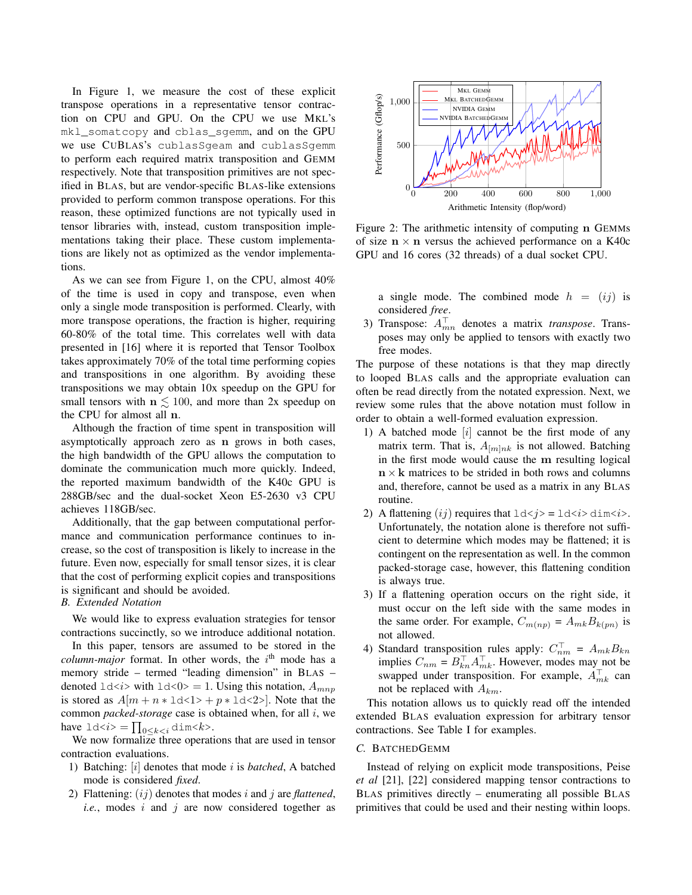In Figure 1, we measure the cost of these explicit transpose operations in a representative tensor contraction on CPU and GPU. On the CPU we use MKL's mkl\_somatcopy and cblas\_sgemm, and on the GPU we use CUBLAS's cublasSgeam and cublasSgemm to perform each required matrix transposition and GEMM respectively. Note that transposition primitives are not specified in BLAS, but are vendor-specific BLAS-like extensions provided to perform common transpose operations. For this reason, these optimized functions are not typically used in tensor libraries with, instead, custom transposition implementations taking their place. These custom implementations are likely not as optimized as the vendor implementations.

As we can see from Figure 1, on the CPU, almost 40% of the time is used in copy and transpose, even when only a single mode transposition is performed. Clearly, with more transpose operations, the fraction is higher, requiring 60-80% of the total time. This correlates well with data presented in [16] where it is reported that Tensor Toolbox takes approximately 70% of the total time performing copies and transpositions in one algorithm. By avoiding these transpositions we may obtain 10x speedup on the GPU for small tensors with  $n \leq 100$ , and more than 2x speedup on the CPU for almost all n.

Although the fraction of time spent in transposition will asymptotically approach zero as n grows in both cases, the high bandwidth of the GPU allows the computation to dominate the communication much more quickly. Indeed, the reported maximum bandwidth of the K40c GPU is 288GB/sec and the dual-socket Xeon E5-2630 v3 CPU achieves 118GB/sec.

Additionally, that the gap between computational performance and communication performance continues to increase, so the cost of transposition is likely to increase in the future. Even now, especially for small tensor sizes, it is clear that the cost of performing explicit copies and transpositions is significant and should be avoided.

# *B. Extended Notation*

We would like to express evaluation strategies for tensor contractions succinctly, so we introduce additional notation.

In this paper, tensors are assumed to be stored in the  $column-major$  format. In other words, the  $i<sup>th</sup>$  mode has a memory stride – termed "leading dimension" in BLAS – denoted  $ld < i$  with  $ld < 0$  = 1. Using this notation,  $A_{mnp}$ is stored as  $A[m + n * \text{ld} < 1] > + p * \text{ld} < 2]$ . Note that the common *packed-storage* case is obtained when, for all i, we have  $1d \lt i > \prod_{0 \leq k \leq i} \dim \lt k$ .

We now formalize three operations that are used in tensor contraction evaluations.

- 1) Batching: [i] denotes that mode i is *batched*, A batched mode is considered *fixed*.
- 2) Flattening: (ij) denotes that modes i and j are *flattened*, *i.e.*, modes  $i$  and  $j$  are now considered together as



Figure 2: The arithmetic intensity of computing n GEMMs of size  $n \times n$  versus the achieved performance on a K40c GPU and 16 cores (32 threads) of a dual socket CPU.

a single mode. The combined mode  $h = (ij)$  is considered *free*.

3) Transpose:  $A_{mn}^{\dagger}$  denotes a matrix *transpose*. Transposes may only be applied to tensors with exactly two free modes.

The purpose of these notations is that they map directly to looped BLAS calls and the appropriate evaluation can often be read directly from the notated expression. Next, we review some rules that the above notation must follow in order to obtain a well-formed evaluation expression.

- 1) A batched mode [i] cannot be the first mode of any matrix term. That is,  $A_{m|nk}$  is not allowed. Batching in the first mode would cause the m resulting logical  $n \times k$  matrices to be strided in both rows and columns and, therefore, cannot be used as a matrix in any BLAS routine.
- 2) A flattening  $(ij)$  requires that  $ld < j> = \ldots < i>dim < i>$ . Unfortunately, the notation alone is therefore not sufficient to determine which modes may be flattened; it is contingent on the representation as well. In the common packed-storage case, however, this flattening condition is always true.
- 3) If a flattening operation occurs on the right side, it must occur on the left side with the same modes in the same order. For example,  $C_{m(np)} = A_{mk}B_{k(pn)}$  is not allowed.
- 4) Standard transposition rules apply:  $C_{nm}^{\perp} = A_{mk}B_{kn}$ implies  $C_{nm} = B_{kn}^{\perp} A_{mk}^{\perp}$ . However, modes may not be swapped under transposition. For example,  $A_{mk}^{\dagger}$  can not be replaced with  $A_{km}$ .

This notation allows us to quickly read off the intended extended BLAS evaluation expression for arbitrary tensor contractions. See Table I for examples.

#### *C.* BATCHEDGEMM

Instead of relying on explicit mode transpositions, Peise *et al* [21], [22] considered mapping tensor contractions to BLAS primitives directly – enumerating all possible BLAS primitives that could be used and their nesting within loops.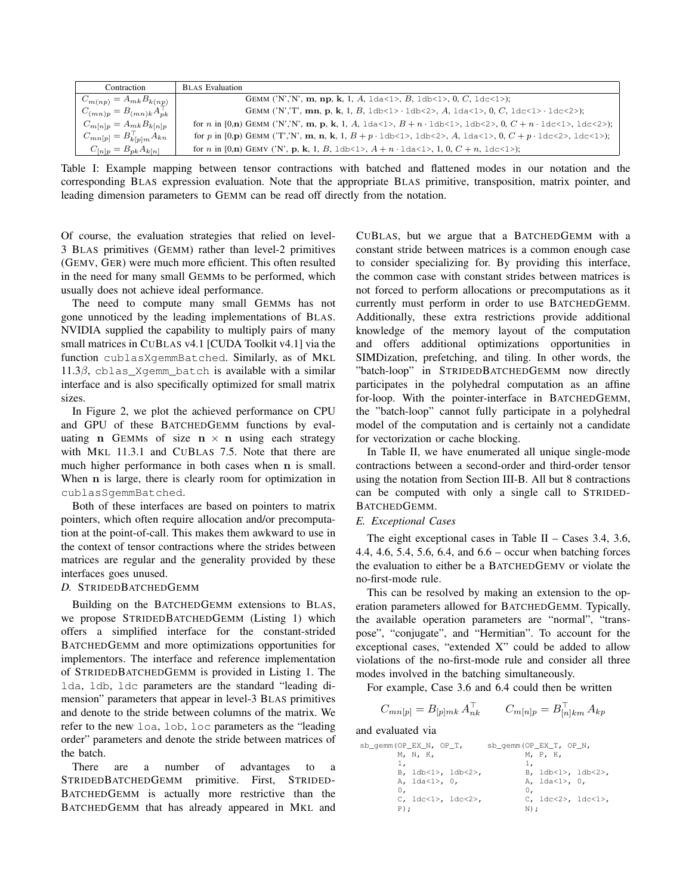| Contraction                           | <b>BLAS</b> Evaluation                                                                                                                               |
|---------------------------------------|------------------------------------------------------------------------------------------------------------------------------------------------------|
| $C_{m(np)} = A_{mk} B_{k(np)}$        | GEMM ('N','N', m, np, k, 1, A, $1$ da<1>, B, $1$ db<1>, 0, C, $1$ dc<1>);                                                                            |
| $C_{(mn)p} = B_{(mn)k} A_{pk}^{\top}$ | GEMM ('N','T', mn, p, k, 1, B, $1 \text{ db} < 1$ > $1 \text{ db} < 2$ >, A, $1 \text{ da} < 1$ >, 0, C, $1 \text{ dc} < 1$ > $1 \text{ dc} < 2$ >); |
| $C_{m[n]p} = A_{mk}B_{k[n]p}$         | for n in [0,n) GEMM ('N','N', m, p, k, 1, A, 1da<1>, $B + n \cdot$ 1db<1>, 1db<2>, 0, $C + n \cdot$ 1dc<1>, 1dc<2>);                                 |
| $C_{mn[p]} = B_{k[p]m}^{\top} A_{kn}$ | for p in [0,p) GEMM ('T','N', m, n, k, 1, $B + p \cdot 1$ db<1>, 1db<2>, A, 1da<1>, 0, $C + p \cdot 1$ dc<2>, 1dc<1>);                               |
| $C_{[n]p} = B_{pk} A_{k[n]}$          | for n in [0,n) GEMV ('N', p, k, 1, B, $1 \text{ d}b \lt 1$ , A + n · $1 \text{ d}a \lt 1$ , 1, 0, C + n, $1 \text{ d}c \lt 1$ );                     |

Table I: Example mapping between tensor contractions with batched and flattened modes in our notation and the corresponding BLAS expression evaluation. Note that the appropriate BLAS primitive, transposition, matrix pointer, and leading dimension parameters to GEMM can be read off directly from the notation.

Of course, the evaluation strategies that relied on level-3 BLAS primitives (GEMM) rather than level-2 primitives (GEMV, GER) were much more efficient. This often resulted in the need for many small GEMMs to be performed, which usually does not achieve ideal performance.

The need to compute many small GEMMs has not gone unnoticed by the leading implementations of BLAS. NVIDIA supplied the capability to multiply pairs of many small matrices in CUBLAS v4.1 [CUDA Toolkit v4.1] via the function cublasXgemmBatched. Similarly, as of MKL  $11.3\beta$ , cblas Xgemm batch is available with a similar interface and is also specifically optimized for small matrix sizes.

In Figure 2, we plot the achieved performance on CPU and GPU of these BATCHEDGEMM functions by evaluating n GEMMs of size  $n \times n$  using each strategy with MKL 11.3.1 and CUBLAS 7.5. Note that there are much higher performance in both cases when n is small. When n is large, there is clearly room for optimization in cublasSgemmBatched.

Both of these interfaces are based on pointers to matrix pointers, which often require allocation and/or precomputation at the point-of-call. This makes them awkward to use in the context of tensor contractions where the strides between matrices are regular and the generality provided by these interfaces goes unused.

## *D.* STRIDEDBATCHEDGEMM

Building on the BATCHEDGEMM extensions to BLAS, we propose STRIDEDBATCHEDGEMM (Listing 1) which offers a simplified interface for the constant-strided BATCHEDGEMM and more optimizations opportunities for implementors. The interface and reference implementation of STRIDEDBATCHEDGEMM is provided in Listing 1. The lda, ldb, ldc parameters are the standard "leading dimension" parameters that appear in level-3 BLAS primitives and denote to the stride between columns of the matrix. We refer to the new loa, lob, loc parameters as the "leading order" parameters and denote the stride between matrices of the batch.

There are a number of advantages to a STRIDEDBATCHEDGEMM primitive. First, STRIDED-BATCHEDGEMM is actually more restrictive than the BATCHEDGEMM that has already appeared in MKL and CUBLAS, but we argue that a BATCHEDGEMM with a constant stride between matrices is a common enough case to consider specializing for. By providing this interface, the common case with constant strides between matrices is not forced to perform allocations or precomputations as it currently must perform in order to use BATCHEDGEMM. Additionally, these extra restrictions provide additional knowledge of the memory layout of the computation and offers additional optimizations opportunities in SIMDization, prefetching, and tiling. In other words, the "batch-loop" in STRIDEDBATCHEDGEMM now directly participates in the polyhedral computation as an affine for-loop. With the pointer-interface in BATCHEDGEMM, the "batch-loop" cannot fully participate in a polyhedral model of the computation and is certainly not a candidate for vectorization or cache blocking.

In Table II, we have enumerated all unique single-mode contractions between a second-order and third-order tensor using the notation from Section III-B. All but 8 contractions can be computed with only a single call to STRIDED-BATCHEDGEMM.

# *E. Exceptional Cases*

The eight exceptional cases in Table II – Cases 3.4, 3.6, 4.4, 4.6, 5.4, 5.6, 6.4, and 6.6 – occur when batching forces the evaluation to either be a BATCHEDGEMV or violate the no-first-mode rule.

This can be resolved by making an extension to the operation parameters allowed for BATCHEDGEMM. Typically, the available operation parameters are "normal", "transpose", "conjugate", and "Hermitian". To account for the exceptional cases, "extended X" could be added to allow violations of the no-first-mode rule and consider all three modes involved in the batching simultaneously.

For example, Case 3.6 and 6.4 could then be written

$$
C_{mn[p]} = B_{[p]mk} A_{nk}^{\top} \qquad C_{m[n]p} = B_{[n]km}^{\top} A_{kp}
$$

and evaluated via

| sb_gemm(OP_EX_N, OP_T,     | $sb_qemm(OP\_EX_T, OP_N,$  |
|----------------------------|----------------------------|
| M, N, K,                   | M, P, K,                   |
| ı.                         | 1.                         |
| B, 1db<1>, 1db<2>,         | B, 1db<1>, 1db<2>,         |
| A, 1da<1>, 0,              | A, 1da<1>, 0,              |
| 0.                         | 0.                         |
| C, $1dc < 1$ , $1dc < 2$ , | C, $1dc < 2$ , $1dc < 1$ , |
| $P$ );                     | N);                        |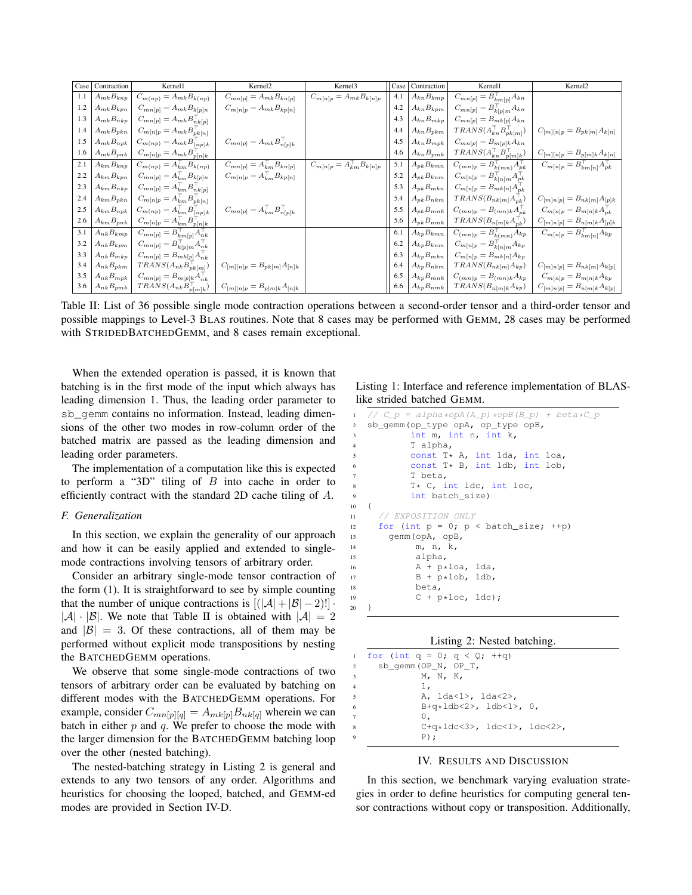| Case | Contraction                          | Kernel1                                             | Kernel <sub>2</sub>                              | Kernel3                                          | Case | Contraction                          | Kernel1                                             | Kernel <sub>2</sub>                                 |
|------|--------------------------------------|-----------------------------------------------------|--------------------------------------------------|--------------------------------------------------|------|--------------------------------------|-----------------------------------------------------|-----------------------------------------------------|
| 1.1  | $\overline{A_{mk}}B_{knp}$           | $C_{m(np)}=A_{mk}B_{k(np)}$                         | $C_{mn[p]}=\overline{A_{mk}B_{kn[p]}}$           | $C_{m[n]p}=A_{mk}B_{k[n]p}$                      | 4.1  | $A_{kn}B_{kmp}$                      | $\overline{C_{mn[p]}}=B_{km[p]}^\top A_{kn}$        |                                                     |
| 1.2  | $\mathcal{A}_{mk}\mathcal{B}_{kpn}$  | $C_{mn[p]}=A_{mk}B_{k[p]n}$                         | $C_{m[n]p}=A_{mk}B_{kp[n]}$                      |                                                  | 4.2  | $\mathcal{A}_{kn} \mathcal{B}_{kpm}$ | $C_{mn[p]}=B_{k[p]m}^\top A_{kn}$                   |                                                     |
| 1.3  | $\mathcal{A}_{mk}\mathcal{B}_{nkp}$  | $C_{mn[p]}=A_{mk}B_{nk[p]}^{\top}$                  |                                                  |                                                  | 4.3  | $A_{kn}B_{mkp}$                      | $C_{mn[p]}=B_{mk[p]}A_{kn}$                         |                                                     |
| 1.4  | $A_{mk}B_{pkn}$                      | $C_{m[n]p} = A_{mk} B_{pk[n]}^{\top}$               |                                                  |                                                  | 4.4  | $A_{kn}B_{pkm}$                      | $TRANS(A_{kn}^\top B_{pk[m]}^\top)$                 | $C_{[m][n]p}=B_{pk[m]}A_{k[n]}$                     |
| 1.5  | $\mathcal{A}_{mk}\mathcal{B}_{npk}$  | $C_{m(np)} = A_{mk} B_{(np)k}^{\top}$               | $C_{mn[p]}=A_{mk}B_{n[p]k}^\top$                 |                                                  | 4.5  | $A_{kn}B_{mpk}$                      | $C_{mn[p]}=B_{m[p]k}{\cal A}_{kn}$                  |                                                     |
| 1.6  | $A_{mk}B_{pnk}$                      | $C_{m[n]p} = A_{mk} B_{p[n]k}^{\top}$               |                                                  |                                                  | 4.6  | $A_{kn}B_{pmk}$                      | $TRANS(A_{kn}^\top B_{p[m]k}^\top)$                 | $C_{[m][n]p}=B_{p[m]k}A_{k[n]}$                     |
| 2.1  | $A_{km}B_{knp}$                      | $C_{m(np)} = A_{km}^\top B_{k(np)}$                 | $C_{mn[p]} = \overline{A_{km}^{\top} B_{kn[p]}}$ | $C_{m[n]p} = \overline{A_{km}^{\top} B_{k[n]p}}$ | 5.1  | $A_{pk}B_{kmn}$                      | $\overline{C_{(mn)}p} = B_{k(mn)}^\top A_{pk}^\top$ | $\overline{C_{m[n]p} = B_{km[n]}^\top A_{pk}^\top}$ |
| 2.2  | $\mathcal{A}_{km} \mathcal{B}_{kpn}$ | $C_{mn[p]} = A_{km}^\top B_{k[p]n}$                 | $C_{m[n]p}=A_{km}^\top B_{kp[n]}$                |                                                  | 5.2  | $A_{pk}B_{knm}$                      | $C_{m[n]p}=B_{k[n]m}^\top A_{pk}^\top$              |                                                     |
| 2.3  | $A_{km}B_{nkp}$                      | $C_{mn[p]} = A_{km}^{\top} B_{nk[p]}^{\top}$        |                                                  |                                                  | 5.3  | $A_{pk}B_{mkn}$                      | $C_{m[n]p} = B_{mk[n]} A_{pk}^{\top}$               |                                                     |
| 2.4  | $A_{km}B_{pkn}$                      | $C_{m[n]p}=A_{km}^\top B_{pk[n]}^\top$              |                                                  |                                                  | 5.4  | $A_{pk}B_{nkm}$                      | $TRANS(B_{nk[m]}A_{pk}^{\dagger})$                  | $C_{[m]n[p]}=B_{nk[m]}A_{[p]k}$                     |
| 2.5  | $\mathcal{A}_{km} \mathcal{B}_{npk}$ | $C_{m(np)} = A_{km}^\top B_{(np)k}^\top$            | $C_{mn[p]} = A_{km}^\top B_{n[p]k}^\top$         |                                                  | 5.5  | $A_{pk}B_{mnk}$                      | $C_{(mn)p} = B_{(mn)k} A_{pk}^{\top}$               | $C_{m[n]p} = B_{m[n]k} A_{pk}^{\top}$               |
| 2.6  | $A_{km}B_{pnk}$                      | $C_{m[n]p} = A_{km}^{\top} B_{p[n]k}^{\top}$        |                                                  |                                                  | 5.6  | $\mathcal{A}_{pk}\mathcal{B}_{nmk}$  | $TRANS(B_{n[m]k}{\cal A}_{pk}^{\top})$              | $C_{[m]n[p]}=B_{n[m]k}A_{[p]k}$                     |
| 3.1  | $A_{nk}B_{kmp}$                      | $\overline{C_{mn[p]}} = B_{km[p]}^\top A_{nk}^\top$ |                                                  |                                                  | 6.1  | $A_{kp}\overline{B_{kmn}}$           | $C_{(mn)p} = B_{k(mn)}^{\top} A_{kp}$               | $\overline{C_{m[n]p} = B_{km[n]}^\top A_{kp}}$      |
| 3.2  | $\mathcal{A}_{nk}\mathcal{B}_{kpm}$  | $C_{mn[p]} = B_{k[p]m}^\top A_{nk}^\top$            |                                                  |                                                  | 6.2  | $\mathcal{A}_{kp} \mathcal{B}_{knm}$ | $C_{m[n]p}=B_{k[n]m}^{\top}A_{kp}$                  |                                                     |
| 3.3  | $A_{nk}B_{mkp}$                      | $C_{mn[p]}=B_{mk[p]}A_{nk}^\top$                    |                                                  |                                                  | 6.3  | $\mathcal{A}_{kp} \mathcal{B}_{mkn}$ | $C_{m[n]p}=B_{mk[n]}A_{kp}$                         |                                                     |
| 3.4  | $A_{nk}B_{pkm}$                      | $TRANS(A_{nk}B_{pk[m]}^\top)$                       | $C_{[m][n]p}=B_{pk[m]}A_{[n]k}$                  |                                                  | 6.4  | $\mathcal{A}_{kp} \mathcal{B}_{nkm}$ | $\hat{TRANS}(B_{nk[m]}A_{kp})$                      | $C_{[m]n[p]}=B_{nk[m]}A_{k[p]}$                     |
| 3.5  | $\mathcal{A}_{nk}\mathcal{B}_{mpk}$  | $C_{mn[p]}=B_{m[p]k}A_{nk}^\top$                    |                                                  |                                                  | 6.5  | $\mathcal{A}_{kp}B_{mnk}$            | $C_{(mn)p} = B_{(mn)k} A_{kp}$                      | $C_{m[n]p}=B_{m[n]k}A_{kp}$                         |
|      | 3.6 $A_{nk}B_{pmk}$                  | $TRANS(A_{nk}B_{p[m]k}^{\top})$                     | $C_{[m][n]p}=B_{p[m]k}A_{[n]k}$                  |                                                  | 6.6  | $A_{kp}B_{nmk}$                      | $TRANS(B_{n[m]k}A_{kp})$                            | $C_{[m]n[p]} = B_{n[m]k} A_{k[p]}$                  |

Table II: List of 36 possible single mode contraction operations between a second-order tensor and a third-order tensor and possible mappings to Level-3 BLAS routines. Note that 8 cases may be performed with GEMM, 28 cases may be performed with STRIDEDBATCHEDGEMM, and 8 cases remain exceptional.

<sup>20</sup> }

When the extended operation is passed, it is known that batching is in the first mode of the input which always has leading dimension 1. Thus, the leading order parameter to sb\_gemm contains no information. Instead, leading dimensions of the other two modes in row-column order of the batched matrix are passed as the leading dimension and leading order parameters.

The implementation of a computation like this is expected to perform a "3D" tiling of  $B$  into cache in order to efficiently contract with the standard 2D cache tiling of A.

## *F. Generalization*

In this section, we explain the generality of our approach and how it can be easily applied and extended to singlemode contractions involving tensors of arbitrary order.

Consider an arbitrary single-mode tensor contraction of the form (1). It is straightforward to see by simple counting that the number of unique contractions is  $[(|\mathcal{A}| + |\mathcal{B}| - 2)!]$ .  $|A| \cdot |B|$ . We note that Table II is obtained with  $|A| = 2$ and  $|\mathcal{B}| = 3$ . Of these contractions, all of them may be performed without explicit mode transpositions by nesting the BATCHEDGEMM operations.

We observe that some single-mode contractions of two tensors of arbitrary order can be evaluated by batching on different modes with the BATCHEDGEMM operations. For example, consider  $C_{mn[p][q]} = A_{mk[p]}B_{nk[q]}$  wherein we can batch in either  $p$  and  $q$ . We prefer to choose the mode with the larger dimension for the BATCHEDGEMM batching loop over the other (nested batching).

The nested-batching strategy in Listing 2 is general and extends to any two tensors of any order. Algorithms and heuristics for choosing the looped, batched, and GEMM-ed modes are provided in Section IV-D.

Listing 1: Interface and reference implementation of BLASlike strided batched GEMM.

```
1 / / C_p = \alphalpha*opA(A_p)*opB(B_p) + beta*C_p
2 sb_gemm(op_type opA, op_type opB,
3 int m, int n, int k,
         4 T alpha,
         const T* A, int lda, int loa,
          const T* B, int ldb, int lob,
         7 T beta,
         T* C, int ldc, int loc,
9 int batch size)
10 {
11 // EXPOSITION ONLY
12 for (int p = 0; p < batch_size; ++p)
13 gemm(opA, opB,
14 m, n, k,
15 alpha,
16 A + p*loa, lda,17 B + p * lob, ldb,18 beta,
19 C + p * loc, \text{ldc};
```

|  |  |  | Listing 2: Nested batching. |
|--|--|--|-----------------------------|
|--|--|--|-----------------------------|

| $\overline{a}$           | 1 for (int $q = 0$ ; $q < Q$ ; ++q)<br>$sb_qemm(OP_N, OP_T,$ |
|--------------------------|--------------------------------------------------------------|
| 3                        | M, N, K,                                                     |
| 4                        | ı,                                                           |
| $\overline{\phantom{0}}$ | A, 1da<1>, 1da<2>,                                           |
| 6                        | $B+q*1db < 2$ , $1db < 1$ , 0,                               |
| 7                        | 0.                                                           |
| 8                        | $C+q*1dc<3>$ , $1dc<1>$ , $1dc<2>$ ,                         |
| Q                        | $P)$ ;                                                       |

#### IV. RESULTS AND DISCUSSION

In this section, we benchmark varying evaluation strategies in order to define heuristics for computing general tensor contractions without copy or transposition. Additionally,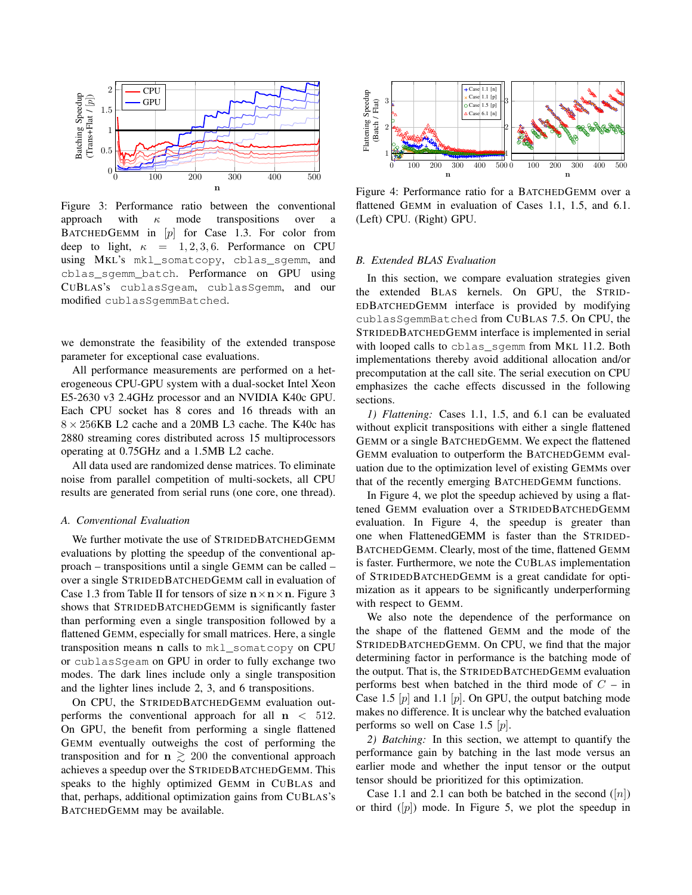

Figure 3: Performance ratio between the conventional approach with  $\kappa$  mode transpositions over a BATCHEDGEMM in  $[p]$  for Case 1.3. For color from deep to light,  $\kappa = 1, 2, 3, 6$ . Performance on CPU using MKL's mkl\_somatcopy, cblas\_sgemm, and cblas\_sgemm\_batch. Performance on GPU using CUBLAS's cublasSgeam, cublasSgemm, and our modified cublasSgemmBatched.

we demonstrate the feasibility of the extended transpose parameter for exceptional case evaluations.

All performance measurements are performed on a heterogeneous CPU-GPU system with a dual-socket Intel Xeon E5-2630 v3 2.4GHz processor and an NVIDIA K40c GPU. Each CPU socket has 8 cores and 16 threads with an  $8 \times 256$ KB L2 cache and a 20MB L3 cache. The K40c has 2880 streaming cores distributed across 15 multiprocessors operating at 0.75GHz and a 1.5MB L2 cache.

All data used are randomized dense matrices. To eliminate noise from parallel competition of multi-sockets, all CPU results are generated from serial runs (one core, one thread).

# *A. Conventional Evaluation*

We further motivate the use of STRIDEDBATCHEDGEMM evaluations by plotting the speedup of the conventional approach – transpositions until a single GEMM can be called – over a single STRIDEDBATCHEDGEMM call in evaluation of Case 1.3 from Table II for tensors of size  $n \times n \times n$ . Figure 3 shows that STRIDEDBATCHEDGEMM is significantly faster than performing even a single transposition followed by a flattened GEMM, especially for small matrices. Here, a single transposition means n calls to mkl\_somatcopy on CPU or cublasSgeam on GPU in order to fully exchange two modes. The dark lines include only a single transposition and the lighter lines include 2, 3, and 6 transpositions.

On CPU, the STRIDEDBATCHEDGEMM evaluation outperforms the conventional approach for all  $n < 512$ . On GPU, the benefit from performing a single flattened GEMM eventually outweighs the cost of performing the transposition and for  $n \ge 200$  the conventional approach achieves a speedup over the STRIDEDBATCHEDGEMM. This speaks to the highly optimized GEMM in CUBLAS and that, perhaps, additional optimization gains from CUBLAS's BATCHEDGEMM may be available.



Figure 4: Performance ratio for a BATCHEDGEMM over a flattened GEMM in evaluation of Cases 1.1, 1.5, and 6.1. (Left) CPU. (Right) GPU.

# *B. Extended BLAS Evaluation*

In this section, we compare evaluation strategies given the extended BLAS kernels. On GPU, the STRID-EDBATCHEDGEMM interface is provided by modifying cublasSgemmBatched from CUBLAS 7.5. On CPU, the STRIDEDBATCHEDGEMM interface is implemented in serial with looped calls to cblas\_sgemm from MKL 11.2. Both implementations thereby avoid additional allocation and/or precomputation at the call site. The serial execution on CPU emphasizes the cache effects discussed in the following sections.

*1) Flattening:* Cases 1.1, 1.5, and 6.1 can be evaluated without explicit transpositions with either a single flattened GEMM or a single BATCHEDGEMM. We expect the flattened GEMM evaluation to outperform the BATCHEDGEMM evaluation due to the optimization level of existing GEMMs over that of the recently emerging BATCHEDGEMM functions.

In Figure 4, we plot the speedup achieved by using a flattened GEMM evaluation over a STRIDEDBATCHEDGEMM evaluation. In Figure 4, the speedup is greater than one when FlattenedGEMM is faster than the STRIDED-BATCHEDGEMM. Clearly, most of the time, flattened GEMM is faster. Furthermore, we note the CUBLAS implementation of STRIDEDBATCHEDGEMM is a great candidate for optimization as it appears to be significantly underperforming with respect to GEMM.

We also note the dependence of the performance on the shape of the flattened GEMM and the mode of the STRIDEDBATCHEDGEMM. On CPU, we find that the major determining factor in performance is the batching mode of the output. That is, the STRIDEDBATCHEDGEMM evaluation performs best when batched in the third mode of  $C - in$ Case 1.5  $[p]$  and 1.1  $[p]$ . On GPU, the output batching mode makes no difference. It is unclear why the batched evaluation performs so well on Case 1.5  $[p]$ .

*2) Batching:* In this section, we attempt to quantify the performance gain by batching in the last mode versus an earlier mode and whether the input tensor or the output tensor should be prioritized for this optimization.

Case 1.1 and 2.1 can both be batched in the second  $([n])$ or third  $([p])$  mode. In Figure 5, we plot the speedup in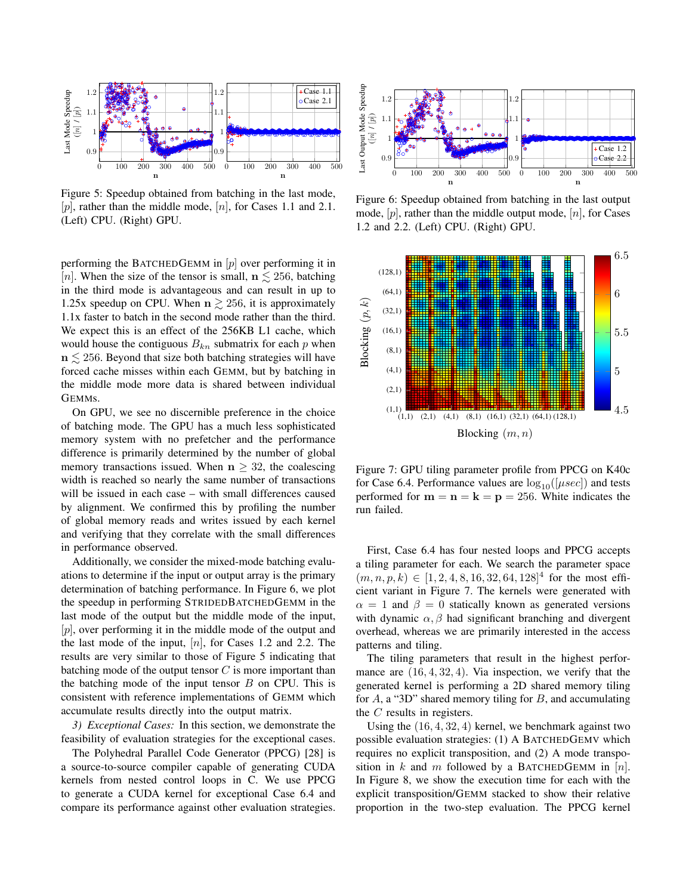

Figure 5: Speedup obtained from batching in the last mode, [p], rather than the middle mode,  $[n]$ , for Cases 1.1 and 2.1. (Left) CPU. (Right) GPU.

performing the BATCHEDGEMM in  $[p]$  over performing it in [n]. When the size of the tensor is small,  $n \le 256$ , batching in the third mode is advantageous and can result in up to 1.25x speedup on CPU. When  $n \gtrsim 256$ , it is approximately 1.1x faster to batch in the second mode rather than the third. We expect this is an effect of the 256KB L1 cache, which would house the contiguous  $B_{kn}$  submatrix for each p when  $n \leq 256$ . Beyond that size both batching strategies will have forced cache misses within each GEMM, but by batching in the middle mode more data is shared between individual GEMMs.

On GPU, we see no discernible preference in the choice of batching mode. The GPU has a much less sophisticated memory system with no prefetcher and the performance difference is primarily determined by the number of global memory transactions issued. When  $n \geq 32$ , the coalescing width is reached so nearly the same number of transactions will be issued in each case – with small differences caused by alignment. We confirmed this by profiling the number of global memory reads and writes issued by each kernel and verifying that they correlate with the small differences in performance observed.

Additionally, we consider the mixed-mode batching evaluations to determine if the input or output array is the primary determination of batching performance. In Figure 6, we plot the speedup in performing STRIDEDBATCHEDGEMM in the last mode of the output but the middle mode of the input, [p], over performing it in the middle mode of the output and the last mode of the input,  $[n]$ , for Cases 1.2 and 2.2. The results are very similar to those of Figure 5 indicating that batching mode of the output tensor  $C$  is more important than the batching mode of the input tensor  $B$  on CPU. This is consistent with reference implementations of GEMM which accumulate results directly into the output matrix.

*3) Exceptional Cases:* In this section, we demonstrate the feasibility of evaluation strategies for the exceptional cases.

The Polyhedral Parallel Code Generator (PPCG) [28] is a source-to-source compiler capable of generating CUDA kernels from nested control loops in C. We use PPCG to generate a CUDA kernel for exceptional Case 6.4 and compare its performance against other evaluation strategies.



Figure 6: Speedup obtained from batching in the last output mode,  $[p]$ , rather than the middle output mode,  $[n]$ , for Cases 1.2 and 2.2. (Left) CPU. (Right) GPU.



Figure 7: GPU tiling parameter profile from PPCG on K40c for Case 6.4. Performance values are  $log_{10}([\mu sec])$  and tests performed for  $m = n = k = p = 256$ . White indicates the run failed.

First, Case 6.4 has four nested loops and PPCG accepts a tiling parameter for each. We search the parameter space  $(m, n, p, k) \in [1, 2, 4, 8, 16, 32, 64, 128]^4$  for the most efficient variant in Figure 7. The kernels were generated with  $\alpha = 1$  and  $\beta = 0$  statically known as generated versions with dynamic  $\alpha$ ,  $\beta$  had significant branching and divergent overhead, whereas we are primarily interested in the access patterns and tiling.

The tiling parameters that result in the highest performance are  $(16, 4, 32, 4)$ . Via inspection, we verify that the generated kernel is performing a 2D shared memory tiling for  $A$ , a "3D" shared memory tiling for  $B$ , and accumulating the C results in registers.

Using the  $(16, 4, 32, 4)$  kernel, we benchmark against two possible evaluation strategies: (1) A BATCHEDGEMV which requires no explicit transposition, and (2) A mode transposition in k and m followed by a BATCHEDGEMM in  $[n]$ . In Figure 8, we show the execution time for each with the explicit transposition/GEMM stacked to show their relative proportion in the two-step evaluation. The PPCG kernel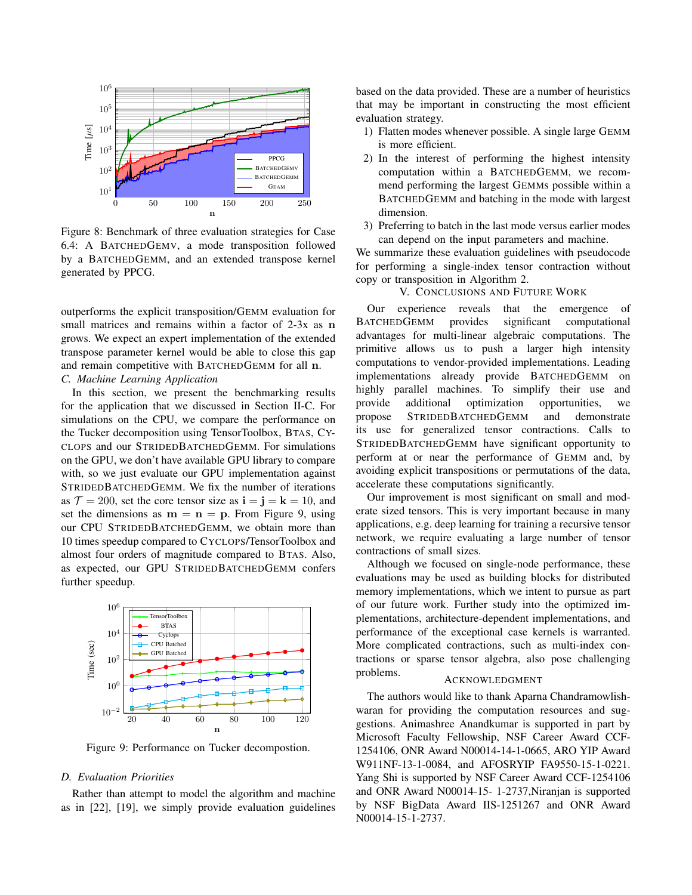

Figure 8: Benchmark of three evaluation strategies for Case 6.4: A BATCHEDGEMV, a mode transposition followed by a BATCHEDGEMM, and an extended transpose kernel generated by PPCG.

outperforms the explicit transposition/GEMM evaluation for small matrices and remains within a factor of 2-3x as n grows. We expect an expert implementation of the extended transpose parameter kernel would be able to close this gap and remain competitive with BATCHEDGEMM for all n. *C. Machine Learning Application*

In this section, we present the benchmarking results for the application that we discussed in Section II-C. For simulations on the CPU, we compare the performance on the Tucker decomposition using TensorToolbox, BTAS, CY-CLOPS and our STRIDEDBATCHEDGEMM. For simulations on the GPU, we don't have available GPU library to compare with, so we just evaluate our GPU implementation against STRIDEDBATCHEDGEMM. We fix the number of iterations as  $\mathcal{T} = 200$ , set the core tensor size as  $\mathbf{i} = \mathbf{j} = \mathbf{k} = 10$ , and set the dimensions as  $m = n = p$ . From Figure 9, using our CPU STRIDEDBATCHEDGEMM, we obtain more than 10 times speedup compared to CYCLOPS/TensorToolbox and almost four orders of magnitude compared to BTAS. Also, as expected, our GPU STRIDEDBATCHEDGEMM confers further speedup.



Figure 9: Performance on Tucker decompostion.

# *D. Evaluation Priorities*

Rather than attempt to model the algorithm and machine as in [22], [19], we simply provide evaluation guidelines based on the data provided. These are a number of heuristics that may be important in constructing the most efficient evaluation strategy.

- 1) Flatten modes whenever possible. A single large GEMM is more efficient.
- 2) In the interest of performing the highest intensity computation within a BATCHEDGEMM, we recommend performing the largest GEMMs possible within a BATCHEDGEMM and batching in the mode with largest dimension.
- 3) Preferring to batch in the last mode versus earlier modes can depend on the input parameters and machine.

We summarize these evaluation guidelines with pseudocode for performing a single-index tensor contraction without copy or transposition in Algorithm 2.

# V. CONCLUSIONS AND FUTURE WORK

Our experience reveals that the emergence of BATCHEDGEMM provides significant computational advantages for multi-linear algebraic computations. The primitive allows us to push a larger high intensity computations to vendor-provided implementations. Leading implementations already provide BATCHEDGEMM on highly parallel machines. To simplify their use and provide additional optimization opportunities, we propose STRIDEDBATCHEDGEMM and demonstrate its use for generalized tensor contractions. Calls to STRIDEDBATCHEDGEMM have significant opportunity to perform at or near the performance of GEMM and, by avoiding explicit transpositions or permutations of the data, accelerate these computations significantly.

Our improvement is most significant on small and moderate sized tensors. This is very important because in many applications, e.g. deep learning for training a recursive tensor network, we require evaluating a large number of tensor contractions of small sizes.

Although we focused on single-node performance, these evaluations may be used as building blocks for distributed memory implementations, which we intent to pursue as part of our future work. Further study into the optimized implementations, architecture-dependent implementations, and performance of the exceptional case kernels is warranted. More complicated contractions, such as multi-index contractions or sparse tensor algebra, also pose challenging problems.

### ACKNOWLEDGMENT

The authors would like to thank Aparna Chandramowlishwaran for providing the computation resources and suggestions. Animashree Anandkumar is supported in part by Microsoft Faculty Fellowship, NSF Career Award CCF-1254106, ONR Award N00014-14-1-0665, ARO YIP Award W911NF-13-1-0084, and AFOSRYIP FA9550-15-1-0221. Yang Shi is supported by NSF Career Award CCF-1254106 and ONR Award N00014-15- 1-2737,Niranjan is supported by NSF BigData Award IIS-1251267 and ONR Award N00014-15-1-2737.